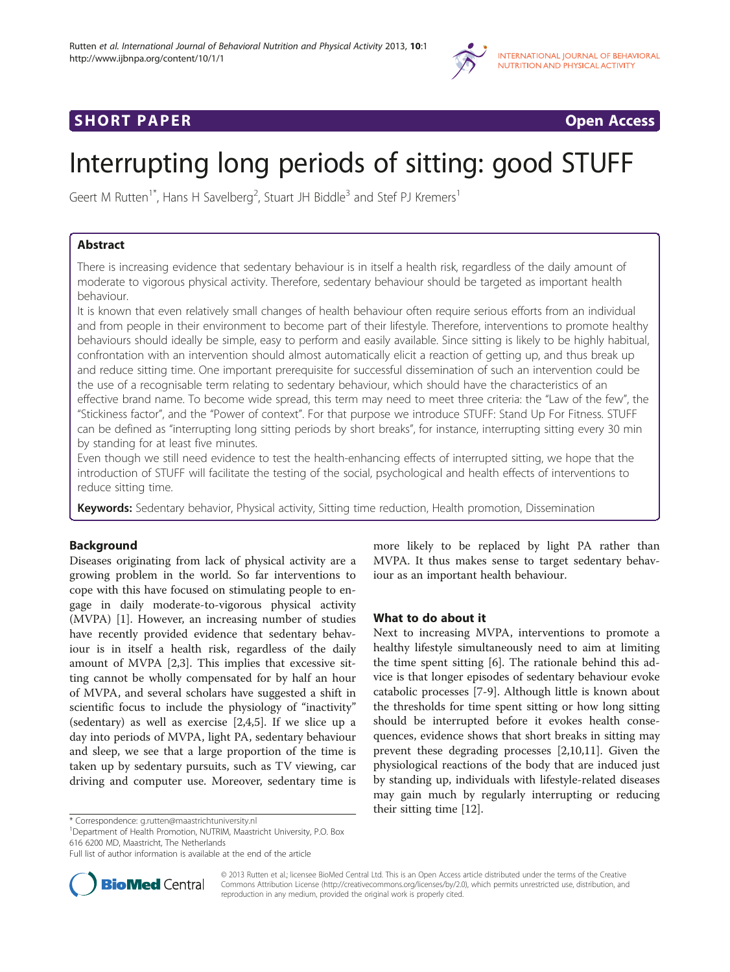

## **SHORT PAPER SHORT PAPER CONSTRUCTER CONSTRUCTER CONSTRUCTER CONSTRUCTER**

# Interrupting long periods of sitting: good STUFF

Geert M Rutten<sup>1\*</sup>, Hans H Savelberg<sup>2</sup>, Stuart JH Biddle<sup>3</sup> and Stef PJ Kremers<sup>1</sup>

## Abstract

There is increasing evidence that sedentary behaviour is in itself a health risk, regardless of the daily amount of moderate to vigorous physical activity. Therefore, sedentary behaviour should be targeted as important health behaviour.

It is known that even relatively small changes of health behaviour often require serious efforts from an individual and from people in their environment to become part of their lifestyle. Therefore, interventions to promote healthy behaviours should ideally be simple, easy to perform and easily available. Since sitting is likely to be highly habitual, confrontation with an intervention should almost automatically elicit a reaction of getting up, and thus break up and reduce sitting time. One important prerequisite for successful dissemination of such an intervention could be the use of a recognisable term relating to sedentary behaviour, which should have the characteristics of an effective brand name. To become wide spread, this term may need to meet three criteria: the "Law of the few", the "Stickiness factor", and the "Power of context". For that purpose we introduce STUFF: Stand Up For Fitness. STUFF can be defined as "interrupting long sitting periods by short breaks", for instance, interrupting sitting every 30 min by standing for at least five minutes.

Even though we still need evidence to test the health-enhancing effects of interrupted sitting, we hope that the introduction of STUFF will facilitate the testing of the social, psychological and health effects of interventions to reduce sitting time.

Keywords: Sedentary behavior, Physical activity, Sitting time reduction, Health promotion, Dissemination

## Background

Diseases originating from lack of physical activity are a growing problem in the world. So far interventions to cope with this have focused on stimulating people to engage in daily moderate-to-vigorous physical activity (MVPA) [\[1](#page-2-0)]. However, an increasing number of studies have recently provided evidence that sedentary behaviour is in itself a health risk, regardless of the daily amount of MVPA [[2](#page-2-0),[3\]](#page-2-0). This implies that excessive sitting cannot be wholly compensated for by half an hour of MVPA, and several scholars have suggested a shift in scientific focus to include the physiology of "inactivity" (sedentary) as well as exercise [\[2,4,5](#page-2-0)]. If we slice up a day into periods of MVPA, light PA, sedentary behaviour and sleep, we see that a large proportion of the time is taken up by sedentary pursuits, such as TV viewing, car driving and computer use. Moreover, sedentary time is

\* Correspondence: [g.rutten@maastrichtuniversity.nl](mailto:g.rutten@maastrichtuniversity.nl) <sup>1</sup>

<sup>1</sup> Department of Health Promotion, NUTRIM, Maastricht University, P.O. Box 616 6200 MD, Maastricht, The Netherlands

Full list of author information is available at the end of the article



more likely to be replaced by light PA rather than MVPA. It thus makes sense to target sedentary behaviour as an important health behaviour.

### What to do about it

Next to increasing MVPA, interventions to promote a healthy lifestyle simultaneously need to aim at limiting the time spent sitting [[6\]](#page-2-0). The rationale behind this advice is that longer episodes of sedentary behaviour evoke catabolic processes [\[7](#page-2-0)-[9\]](#page-2-0). Although little is known about the thresholds for time spent sitting or how long sitting should be interrupted before it evokes health consequences, evidence shows that short breaks in sitting may prevent these degrading processes [[2,10,11\]](#page-2-0). Given the physiological reactions of the body that are induced just by standing up, individuals with lifestyle-related diseases may gain much by regularly interrupting or reducing their sitting time [[12](#page-2-0)].

© 2013 Rutten et al.; licensee BioMed Central Ltd. This is an Open Access article distributed under the terms of the Creative Commons Attribution License [\(http://creativecommons.org/licenses/by/2.0\)](http://creativecommons.org/licenses/by/2.0), which permits unrestricted use, distribution, and reproduction in any medium, provided the original work is properly cited.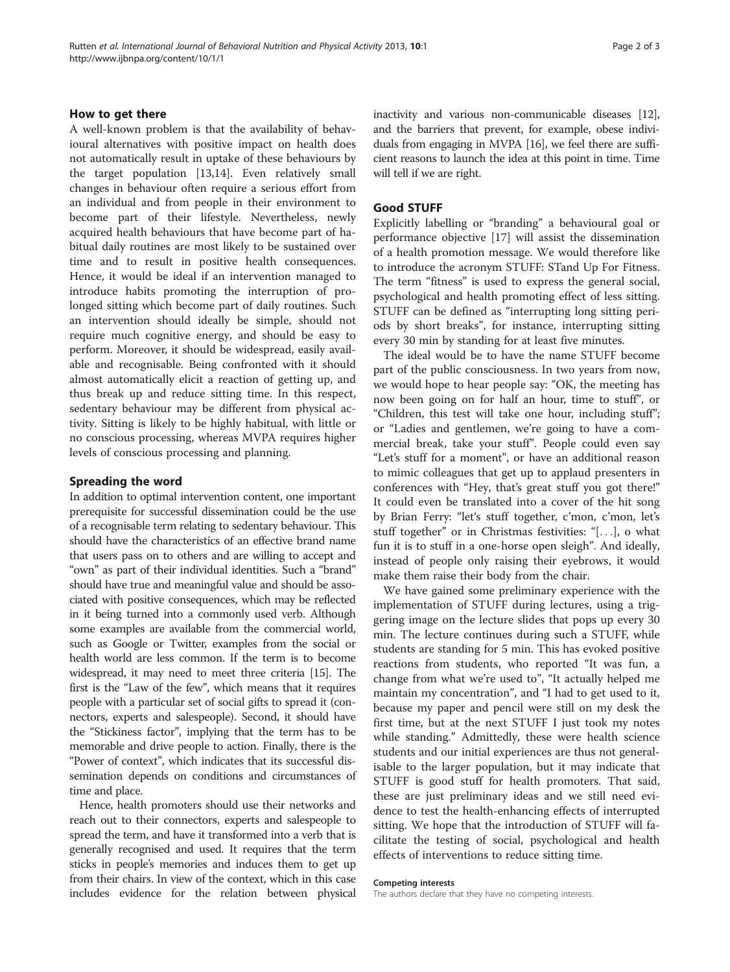#### How to get there

A well-known problem is that the availability of behavioural alternatives with positive impact on health does not automatically result in uptake of these behaviours by the target population [\[13,14\]](#page-2-0). Even relatively small changes in behaviour often require a serious effort from an individual and from people in their environment to become part of their lifestyle. Nevertheless, newly acquired health behaviours that have become part of habitual daily routines are most likely to be sustained over time and to result in positive health consequences. Hence, it would be ideal if an intervention managed to introduce habits promoting the interruption of prolonged sitting which become part of daily routines. Such an intervention should ideally be simple, should not require much cognitive energy, and should be easy to perform. Moreover, it should be widespread, easily available and recognisable. Being confronted with it should almost automatically elicit a reaction of getting up, and thus break up and reduce sitting time. In this respect, sedentary behaviour may be different from physical activity. Sitting is likely to be highly habitual, with little or no conscious processing, whereas MVPA requires higher levels of conscious processing and planning.

#### Spreading the word

In addition to optimal intervention content, one important prerequisite for successful dissemination could be the use of a recognisable term relating to sedentary behaviour. This should have the characteristics of an effective brand name that users pass on to others and are willing to accept and "own" as part of their individual identities. Such a "brand" should have true and meaningful value and should be associated with positive consequences, which may be reflected in it being turned into a commonly used verb. Although some examples are available from the commercial world, such as Google or Twitter, examples from the social or health world are less common. If the term is to become widespread, it may need to meet three criteria [\[15](#page-2-0)]. The first is the "Law of the few", which means that it requires people with a particular set of social gifts to spread it (connectors, experts and salespeople). Second, it should have the "Stickiness factor", implying that the term has to be memorable and drive people to action. Finally, there is the "Power of context", which indicates that its successful dissemination depends on conditions and circumstances of time and place.

Hence, health promoters should use their networks and reach out to their connectors, experts and salespeople to spread the term, and have it transformed into a verb that is generally recognised and used. It requires that the term sticks in people's memories and induces them to get up from their chairs. In view of the context, which in this case includes evidence for the relation between physical inactivity and various non-communicable diseases [\[12](#page-2-0)], and the barriers that prevent, for example, obese individuals from engaging in MVPA [\[16\]](#page-2-0), we feel there are sufficient reasons to launch the idea at this point in time. Time will tell if we are right.

#### Good STUFF

Explicitly labelling or "branding" a behavioural goal or performance objective [[17\]](#page-2-0) will assist the dissemination of a health promotion message. We would therefore like to introduce the acronym STUFF: STand Up For Fitness. The term "fitness" is used to express the general social, psychological and health promoting effect of less sitting. STUFF can be defined as "interrupting long sitting periods by short breaks", for instance, interrupting sitting every 30 min by standing for at least five minutes.

The ideal would be to have the name STUFF become part of the public consciousness. In two years from now, we would hope to hear people say: "OK, the meeting has now been going on for half an hour, time to stuff", or "Children, this test will take one hour, including stuff"; or "Ladies and gentlemen, we're going to have a commercial break, take your stuff". People could even say "Let's stuff for a moment", or have an additional reason to mimic colleagues that get up to applaud presenters in conferences with "Hey, that's great stuff you got there!" It could even be translated into a cover of the hit song by Brian Ferry: "let's stuff together, c'mon, c'mon, let's stuff together" or in Christmas festivities: "[...], o what fun it is to stuff in a one-horse open sleigh". And ideally, instead of people only raising their eyebrows, it would make them raise their body from the chair.

We have gained some preliminary experience with the implementation of STUFF during lectures, using a triggering image on the lecture slides that pops up every 30 min. The lecture continues during such a STUFF, while students are standing for 5 min. This has evoked positive reactions from students, who reported "It was fun, a change from what we're used to", "It actually helped me maintain my concentration", and "I had to get used to it, because my paper and pencil were still on my desk the first time, but at the next STUFF I just took my notes while standing." Admittedly, these were health science students and our initial experiences are thus not generalisable to the larger population, but it may indicate that STUFF is good stuff for health promoters. That said, these are just preliminary ideas and we still need evidence to test the health-enhancing effects of interrupted sitting. We hope that the introduction of STUFF will facilitate the testing of social, psychological and health effects of interventions to reduce sitting time.

#### Competing interests

The authors declare that they have no competing interests.